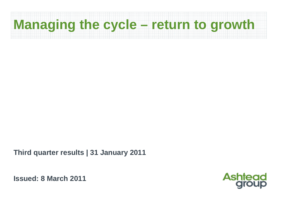# **Managing the cycle – return to growth**

**Third quarter results | 31 January 2011**

**Issued: 8 March 2011**

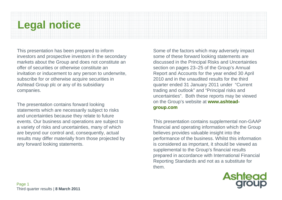### **Legal notice**

This presentation has been prepared to inform investors and prospective investors in the secondary markets about the Group and does not constitute an offer of securities or otherwise constitute an invitation or inducement to any person to underwrite, subscribe for or otherwise acquire securities in Ashtead Group plc or any of its subsidiary companies.

The presentation contains forward looking statements which are necessarily subject to risks and uncertainties because they relate to future events. Our business and operations are subject to a variety of risks and uncertainties, many of which are beyond our control and, consequently, actual results may differ materially from those projected by any forward looking statements.

Some of the factors which may adversely impact some of these forward looking statements are discussed in the Principal Risks and Uncertainties section on pages 23–25 of the Group's Annual Report and Accounts for the year ended 30 April 2010 and in the unaudited results for the third quarter ended 31 January 2011 under "Current trading and outlook" and "Principal risks and uncertainties". Both these reports may be viewed on the Group's website at **www.ashteadgroup.com**

This presentation contains supplemental non-GAAP financial and operating information which the Group believes provides valuable insight into the performance of the business. Whilst this information is considered as important, it should be viewed as supplemental to the Group's financial results prepared in accordance with International Financial Reporting Standards and not as a substitute for them.

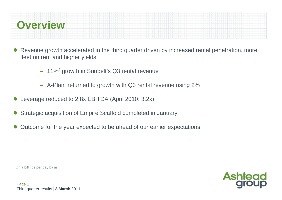

- $\bullet$  Revenue growth accelerated in the third quarter driven by increased rental penetration, more fleet on rent and higher yields
	- 11%1 growth in Sunbelt's Q3 rental revenue
	- $-$  A-Plant returned to growth with Q3 rental revenue rising 2%<sup>1</sup>
- $\bullet$ Leverage reduced to 2.8x EBITDA (April 2010: 3.2x)
- $\bullet$ Strategic acquisition of Empire Scaffold completed in January
- $\bullet$ Outcome for the year expected to be ahead of our earlier expectations

<sup>1</sup> On a billings per day basis

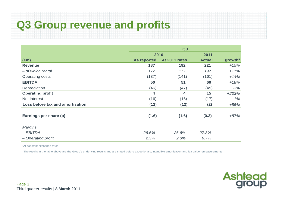### **Q3 Group revenue and profits**

|                                  | Q3                 |               |               |                     |  |  |  |
|----------------------------------|--------------------|---------------|---------------|---------------------|--|--|--|
|                                  | 2010               |               | 2011          |                     |  |  |  |
| $(\text{Em})$                    | <b>As reported</b> | At 2011 rates | <b>Actual</b> | growth <sup>1</sup> |  |  |  |
| <b>Revenue</b>                   | 187                | 192           | 221           | $+15%$              |  |  |  |
| - of which rental                | 172                | 177           | 197           | $+11%$              |  |  |  |
| <b>Operating costs</b>           | (137)              | (141)         | (161)         | $+14%$              |  |  |  |
| <b>EBITDA</b>                    | 50                 | 51            | 60            | $+18%$              |  |  |  |
| Depreciation                     | (46)               | (47)          | (45)          | $-3%$               |  |  |  |
| <b>Operating profit</b>          | 4                  | 4             | 15            | $+233%$             |  |  |  |
| Net interest                     | (16)               | (16)          | (17)          | $-1%$               |  |  |  |
| Loss before tax and amortisation | (12)               | (12)          | (2)           | $+85%$              |  |  |  |
| Earnings per share (p)           | (1.6)              | (1.6)         | (0.2)         | $+87%$              |  |  |  |
|                                  |                    |               |               |                     |  |  |  |
| <b>Margins</b>                   |                    |               |               |                     |  |  |  |
| $-EBITDA$                        | 26.6%              | 26.6%         | 27.3%         |                     |  |  |  |
| - Operating profit               | 2.3%               | 2.3%          | 6.7%          |                     |  |  |  |

 $<sup>1</sup>$  At constant exchange rates</sup>

<sup>2</sup> The results in the table above are the Group's underlying results and are stated before exceptionals, intangible amortisation and fair value remeasurements

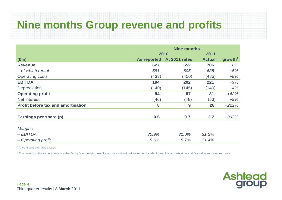### **Nine months Group revenue and profits**

|                                           | <b>Nine months</b> |               |               |                     |  |  |
|-------------------------------------------|--------------------|---------------|---------------|---------------------|--|--|
|                                           |                    | 2010          | 2011          |                     |  |  |
| $(\text{Em})$                             | <b>As reported</b> | At 2011 rates | <b>Actual</b> | growth <sup>1</sup> |  |  |
| <b>Revenue</b>                            | 627                | 652           | 706           | $+8%$               |  |  |
| - of which rental                         | 581                | 605           | 638           | $+5%$               |  |  |
| <b>Operating costs</b>                    | (433)              | (450)         | (485)         | $+8%$               |  |  |
| <b>EBITDA</b>                             | 194                | 202           | 221           | $+9%$               |  |  |
| Depreciation                              | (140)              | (145)         | (140)         | $-4%$               |  |  |
| <b>Operating profit</b>                   | 54                 | 57            | 81            | $+42%$              |  |  |
| Net interest                              | (46)               | (48)          | (53)          | $+9%$               |  |  |
| <b>Profit before tax and amortisation</b> | 8                  | 9             | 28            | $+222%$             |  |  |
|                                           |                    |               |               |                     |  |  |
| Earnings per share (p)                    | 0.6                | 0.7           | 3.7           | +393%               |  |  |
|                                           |                    |               |               |                     |  |  |
| <b>Margins</b>                            |                    |               |               |                     |  |  |
| $-EBITDA$                                 | 30.9%              | 31.0%         | 31.2%         |                     |  |  |
| - Operating profit                        | 8.6%               | 8.7%          | 11.4%         |                     |  |  |

<sup>1</sup> At constant exchange rates

 $2$  The results in the table above are the Group's underlying results and are stated before exceptionals, intangible amortisation and fair value remeasurements

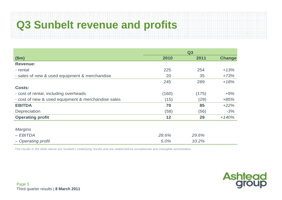# **Q3 Sunbelt revenue and profits**

|                                                    | Q3    |       |               |  |  |
|----------------------------------------------------|-------|-------|---------------|--|--|
| \$m\$                                              | 2010  | 2011  | <b>Change</b> |  |  |
| <b>Revenue:</b>                                    |       |       |               |  |  |
| - rental                                           | 225   | 254   | $+13%$        |  |  |
| - sales of new & used equipment & merchandise      | 20    | 35    | $+73%$        |  |  |
|                                                    | 245   | 289   | $+18%$        |  |  |
| <b>Costs:</b>                                      |       |       |               |  |  |
| - cost of rental, including overheads              | (160) | (175) | $+9%$         |  |  |
| - cost of new & used equipment & merchandise sales | (15)  | (29)  | $+85%$        |  |  |
| <b>EBITDA</b>                                      | 70    | 85    | $+22%$        |  |  |
| Depreciation                                       | (58)  | (56)  | $-3%$         |  |  |
| <b>Operating profit</b>                            | 12    | 29    | $+140%$       |  |  |
|                                                    |       |       |               |  |  |
| <b>Margins</b>                                     |       |       |               |  |  |
| $-EBITDA$                                          | 28.6% | 29.6% |               |  |  |
| - Operating profit                                 | 5.0%  | 10.2% |               |  |  |

The results in the table above are Sunbelt's underlying results and are stated before exceptionals and intangible amortisation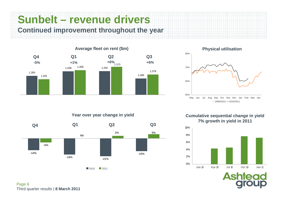**Sunbelt – revenue drivers Continued improvement throughout the year**



**Physical utilisation**



**Year over year change in yield**



**Cumulative sequential change in yield 7% growth in yield in 2011**



Ash

Page 6 Third quarter results | **8 March 2011**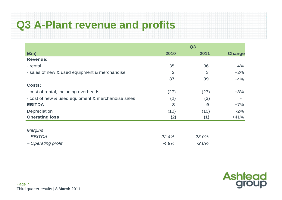# **Q3 A-Plant revenue and profits**

|                                                    | Q3      |         |               |  |  |  |
|----------------------------------------------------|---------|---------|---------------|--|--|--|
| $(\text{Em})$                                      | 2010    | 2011    | <b>Change</b> |  |  |  |
| <b>Revenue:</b>                                    |         |         |               |  |  |  |
| - rental                                           | 35      | 36      | $+4%$         |  |  |  |
| - sales of new & used equipment & merchandise      | 2       | 3       | $+2%$         |  |  |  |
|                                                    | 37      | 39      | $+4%$         |  |  |  |
| <b>Costs:</b>                                      |         |         |               |  |  |  |
| - cost of rental, including overheads              | (27)    | (27)    | $+3%$         |  |  |  |
| - cost of new & used equipment & merchandise sales | (2)     | (3)     |               |  |  |  |
| <b>EBITDA</b>                                      | 8       | 9       | $+7%$         |  |  |  |
| Depreciation                                       | (10)    | (10)    | $-2%$         |  |  |  |
| <b>Operating loss</b>                              | (2)     | (1)     | $+41%$        |  |  |  |
|                                                    |         |         |               |  |  |  |
| <b>Margins</b>                                     |         |         |               |  |  |  |
| $-EBITDA$                                          | 22.4%   | 23.0%   |               |  |  |  |
| - Operating profit                                 | $-4.9%$ | $-2.8%$ |               |  |  |  |

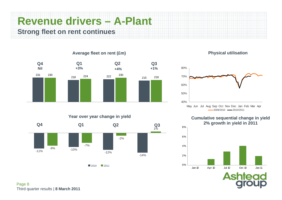### **Revenue drivers – A-Plant Strong fleet on rent continues**



#### **Average fleet on rent (£m)**

#### **Year over year change in yield**



#### **Physical utilisation**



#### **Cumulative sequential change in yield 2% growth in yield in 2011 Q3**



ΔS

Page 8 Third quarter results | **8 March 2011**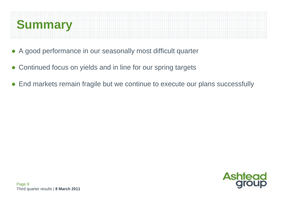

- $\bullet$ A good performance in our seasonally most difficult quarter
- $\bullet$ Continued focus on yields and in line for our spring targets
- $\bullet$ End markets remain fragile but we continue to execute our plans successfully

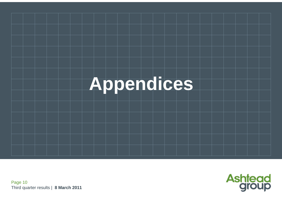



Page 10 Third quarter results | **8 March 2011**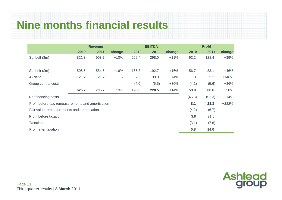### **Nine months financial results**

|                                                    | <b>EBITDA</b><br><b>Revenue</b> |        |                          |       |       | <b>Profit</b> |        |        |         |
|----------------------------------------------------|---------------------------------|--------|--------------------------|-------|-------|---------------|--------|--------|---------|
|                                                    | 2010                            | 2011   | change                   | 2010  | 2011  | change        | 2010   | 2011   | change  |
| Sunbelt (\$m)                                      | 821.3                           | 903.7  | $+10%$                   | 269.4 | 298.0 | $+11%$        | 92.2   | 128.4  | $+39%$  |
|                                                    |                                 |        |                          |       |       |               |        |        |         |
| Sunbelt (£m)                                       | 505.5                           | 584.5  | $+16%$                   | 165.8 | 192.7 | $+16%$        | 56.7   | 83.1   | $+46%$  |
| A-Plant                                            | 121.2                           | 121.2  | $\overline{\phantom{a}}$ | 32.0  | 33.3  | $+4%$         | 1.3    | 3.1    | $+146%$ |
| Group central costs                                | $\sim$                          | $\sim$ | $\overline{\phantom{a}}$ | (4.0) | (5.5) | $+36%$        | (4.1)  | (5.6)  | $+36%$  |
|                                                    | 626.7                           | 705.7  | $+13%$                   | 193.8 | 220.5 | $+14%$        | 53.9   | 80.6   | $+50%$  |
| Net financing costs                                |                                 |        |                          |       |       |               | (45.8) | (52.3) | $+14%$  |
| Profit before tax, remeasurements and amortisation |                                 |        |                          |       |       |               | 8.1    | 28.3   | $+222%$ |
| Fair value remeasurements and amortisation         |                                 |        |                          |       |       |               | (4.2)  | (6.7)  |         |
| Profit before taxation                             |                                 |        |                          |       |       |               | 3.9    | 21.6   |         |
| <b>Taxation</b>                                    |                                 |        |                          |       |       |               | (3.1)  | (7.6)  |         |
| Profit after taxation                              |                                 |        |                          |       |       |               | 0.8    | 14.0   |         |

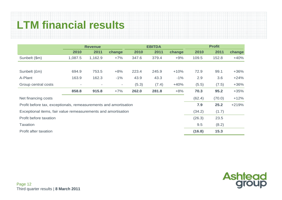### **LTM financial results**

|                                                                  | <b>Revenue</b>           |                          |                          | <b>EBITDA</b> |       |        | <b>Profit</b> |        |         |
|------------------------------------------------------------------|--------------------------|--------------------------|--------------------------|---------------|-------|--------|---------------|--------|---------|
|                                                                  | 2010                     | 2011                     | change                   | 2010          | 2011  | change | 2010          | 2011   | change  |
| Sunbelt (\$m)                                                    | 1,087.5                  | 1,162.9                  | $+7%$                    | 347.6         | 379.4 | $+9%$  | 109.5         | 152.8  | $+40%$  |
|                                                                  |                          |                          |                          |               |       |        |               |        |         |
| Sunbelt (£m)                                                     | 694.9                    | 753.5                    | $+8%$                    | 223.4         | 245.9 | $+10%$ | 72.9          | 99.1   | $+36%$  |
| A-Plant                                                          | 163.9                    | 162.3                    | $-1%$                    | 43.9          | 43.3  | $-1%$  | 2.9           | 3.6    | $+24%$  |
| Group central costs                                              | $\overline{\phantom{a}}$ | $\overline{\phantom{a}}$ | $\overline{\phantom{a}}$ | (5.3)         | (7.4) | $+40%$ | (5.5)         | (7.5)  | $+36%$  |
|                                                                  | 858.8                    | 915.8                    | $+7%$                    | 262.0         | 281.8 | $+8%$  | 70.3          | 95.2   | $+35%$  |
| Net financing costs                                              |                          |                          |                          |               |       |        | (62.4)        | (70.0) | $+12%$  |
| Profit before tax, exceptionals, remeasurements and amortisation |                          |                          |                          |               |       |        | 7.9           | 25.2   | $+219%$ |
| Exceptional items, fair value remeasurements and amortisation    |                          |                          |                          |               |       |        | (34.2)        | (1.7)  |         |
| Profit before taxation                                           |                          |                          |                          |               |       |        | (26.3)        | 23.5   |         |
| <b>Taxation</b>                                                  |                          |                          |                          |               |       |        | 9.5           | (8.2)  |         |
| Profit after taxation                                            |                          |                          |                          |               |       |        | (16.8)        | 15.3   |         |

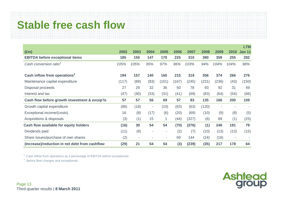## **Stable free cash flow**

|                                                |       |                |                          |                          |       |       |       |       |                          | <b>LTM</b>    |
|------------------------------------------------|-------|----------------|--------------------------|--------------------------|-------|-------|-------|-------|--------------------------|---------------|
| $(\text{Em})$                                  | 2002  | 2003           | 2004                     | 2005                     | 2006  | 2007  | 2008  | 2009  | 2010                     | <b>Jan 11</b> |
| <b>EBITDA before exceptional items</b>         | 185   | 150            | 147                      | 170                      | 225   | 310   | 380   | 359   | 255                      | 282           |
| Cash conversion ratio <sup>1</sup>             | 105%  | 105%           | 95%                      | 97%                      | 96%   | 103%  | 94%   | 104%  | 104%                     | 98%           |
| Cash inflow from operations <sup>2</sup>       | 194   | 157            | 140                      | 165                      | 215   | 319   | 356   | 374   | 266                      | 276           |
| Maintenance capital expenditure                | (117) | (89)           | (83)                     | (101)                    | (167) | (245) | (231) | (236) | (43)                     | (150)         |
| Disposal proceeds                              | 27    | 29             | 32                       | 36                       | 50    | 78    | 93    | 92    | 31                       | 49            |
| Interest and tax                               | (47)  | (40)           | (33)                     | (31)                     | (41)  | (69)  | (83)  | (64)  | (54)                     | (66)          |
| Cash flow before growth investment & excep'ls  | 57    | 57             | 56                       | 69                       | 57    | 83    | 135   | 166   | 200                      | 109           |
| Growth capital expenditure                     | (86)  | (18)           | $\overline{\phantom{a}}$ | (10)                     | (63)  | (63)  | (120) |       |                          |               |
| Exceptional income/(costs)                     | 16    | (8)            | (17)                     | (6)                      | (20)  | (69)  | (10)  | (9)   | (8)                      | (5)           |
| Acquisitions & disposals                       | (3)   | (1)            | 15                       | 1                        | (44)  | (327) | (6)   | 89    | (1)                      | (25)          |
| Cash flow available for equity holders         | (16)  | 30             | 54                       | 54                       | (70)  | (376) | (1)   | 246   | 191                      | 79            |
| Dividends paid                                 | (11)  | (9)            | $\overline{\phantom{a}}$ | ۰                        | (2)   | (7)   | (10)  | (13)  | (13)                     | (15)          |
| Share issues/purchase of own shares            | (2)   | $\blacksquare$ |                          | $\overline{\phantom{a}}$ | 69    | 144   | (24)  | (16)  | $\overline{\phantom{a}}$ |               |
| (Increase)/reduction in net debt from cashflow | (29)  | 21             | 54                       | 54                       | (3)   | (239) | (35)  | 217   | 178                      | 64            |

**Ashtead**<br>group

1 Cash inflow from operations as a percentage of EBITDA before exceptionals

2 Before fleet changes and exceptionals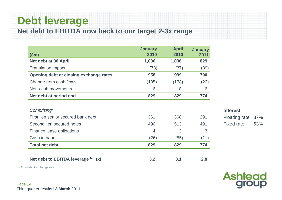### **Debt leverage**

**Net debt to EBITDA now back to our target 2-3x range**

| $(\text{Em})$                          | <b>January</b><br>2010 | <b>April</b><br>2010 | <b>January</b><br>2011 |
|----------------------------------------|------------------------|----------------------|------------------------|
| Net debt at 30 April                   | 1,036                  | 1,036                | 829                    |
| <b>Translation impact</b>              | (78)                   | (37)                 | (39)                   |
| Opening debt at closing exchange rates | 958                    | 999                  | 790                    |
| Change from cash flows                 | (135)                  | (178)                | (22)                   |
| Non-cash movements                     | 6                      | 8                    | 6                      |
| Net debt at period end                 | 829                    | 829                  | 774                    |
|                                        |                        |                      |                        |
| Comprising:                            |                        |                      |                        |
| First lien senior secured bank debt    | 361                    | 368                  | 291                    |
| Second lien secured notes              | 490                    | 513                  | 491                    |
| Finance lease obligations              | $\overline{4}$         | 3                    | 3                      |
| Cash in hand                           | (26)                   | (55)                 | (11)                   |
| <b>Total net debt</b>                  | 829                    | 829                  | 774                    |
|                                        |                        |                      |                        |
| Net debt to EBITDA leverage $(1)$ (x)  | 3.2                    | 3.1                  | 2.8                    |

#### **Interest** Floating rate: 37% Fixed rate: 63%



1 At constant exchange rate